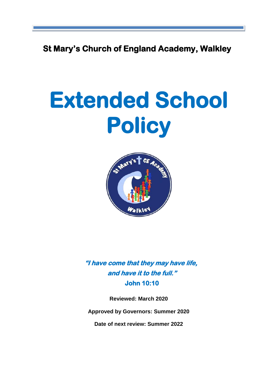**St Mary's Church of England Academy, Walkley**

# **Extended School Policy**



**"I have come that they may have life, and have it to the full." John 10:10** 

**Reviewed: March 2020**

**Approved by Governors: Summer 2020**

**Date of next review: Summer 2022**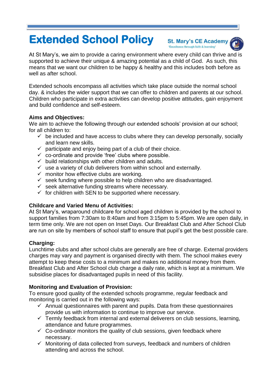# **Extended School Policy**

**St. Mary's CE Academy** 'Excellence through faith & learning'



At St Mary's, we aim to provide a caring environment where every child can thrive and is supported to achieve their unique & amazing potential as a child of God. As such, this means that we want our children to be happy & healthy and this includes both before as well as after school.

Extended schools encompass all activities which take place outside the normal school day. & includes the wider support that we can offer to children and parents at our school. Children who participate in extra activities can develop positive attitudes, gain enjoyment and build confidence and self-esteem.

### **Aims and Objectives:**

We aim to achieve the following through our extended schools' provision at our school; for all children to:

- $\checkmark$  be included and have access to clubs where they can develop personally, socially and learn new skills.
- $\checkmark$  participate and enjoy being part of a club of their choice.
- $\checkmark$  co-ordinate and provide 'free' clubs where possible.
- $\checkmark$  build relationships with other children and adults.
- $\checkmark$  use a variety of club deliverers from within school and externally.
- $\checkmark$  monitor how effective clubs are working.
- $\checkmark$  seek funding where possible to help children who are disadvantaged.
- $\checkmark$  seek alternative funding streams where necessary.
- $\checkmark$  for children with SEN to be supported where necessary.

# **Childcare and Varied Menu of Activities:**

At St Mary's, wraparound childcare for school aged children is provided by the school to support families from 7:30am to 8:40am and from 3:15pm to 5:45pm. We are open daily, in term time only. We are not open on Inset Days. Our Breakfast Club and After School Club are run on site by members of school staff to ensure that pupil's get the best possible care.

# **Charging:**

Lunchtime clubs and after school clubs are generally are free of charge. External providers charges may vary and payment is organised directly with them. The school makes every attempt to keep these costs to a minimum and makes no additional money from them. Breakfast Club and After School club charge a daily rate, which is kept at a minimum. We subsidise places for disadvantaged pupils in need of this facility.

# **Monitoring and Evaluation of Provision:**

To ensure good quality of the extended schools programme, regular feedback and monitoring is carried out in the following ways:

- $\checkmark$  Annual questionnaires with parent and pupils. Data from these questionnaires provide us with information to continue to improve our service.
- $\checkmark$  Termly feedback from internal and external deliverers on club sessions, learning, attendance and future programmes.
- $\checkmark$  Co-ordinator monitors the quality of club sessions, given feedback where necessary.
- $\checkmark$  Monitoring of data collected from surveys, feedback and numbers of children attending and across the school.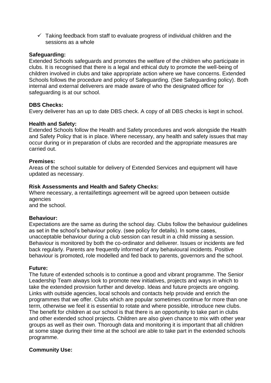$\checkmark$  Taking feedback from staff to evaluate progress of individual children and the sessions as a whole

#### **Safeguarding:**

Extended Schools safeguards and promotes the welfare of the children who participate in clubs. It is recognised that there is a legal and ethical duty to promote the well-being of children involved in clubs and take appropriate action where we have concerns. Extended Schools follows the procedure and policy of Safeguarding. (See Safeguarding policy). Both internal and external deliverers are made aware of who the designated officer for safeguarding is at our school.

#### **DBS Checks:**

Every deliverer has an up to date DBS check. A copy of all DBS checks is kept in school.

#### **Health and Safety:**

Extended Schools follow the Health and Safety procedures and work alongside the Health and Safety Policy that is in place. Where necessary, any health and safety issues that may occur during or in preparation of clubs are recorded and the appropriate measures are carried out.

#### **Premises:**

Areas of the school suitable for delivery of Extended Services and equipment will have updated as necessary.

#### **Risk Assessments and Health and Safety Checks:**

Where necessary, a rental/lettings agreement will be agreed upon between outside agencies and the school.

#### **Behaviour:**

Expectations are the same as during the school day. Clubs follow the behaviour guidelines as set in the school's behaviour policy. (see policy for details). In some cases, unacceptable behaviour during a club session can result in a child missing a session. Behaviour is monitored by both the co-ordinator and deliverer. Issues or incidents are fed back regularly. Parents are frequently informed of any behavioural incidents. Positive behaviour is promoted, role modelled and fed back to parents, governors and the school.

#### **Future:**

The future of extended schools is to continue a good and vibrant programme. The Senior Leadership Team always look to promote new initiatives, projects and ways in which to take the extended provision further and develop. Ideas and future projects are ongoing. Links with outside agencies, local schools and contacts help provide and enrich the programmes that we offer. Clubs which are popular sometimes continue for more than one term, otherwise we feel it is essential to rotate and where possible, introduce new clubs. The benefit for children at our school is that there is an opportunity to take part in clubs and other extended school projects. Children are also given chance to mix with other year groups as well as their own. Thorough data and monitoring it is important that all children at some stage during their time at the school are able to take part in the extended schools programme.

#### **Community Use:**